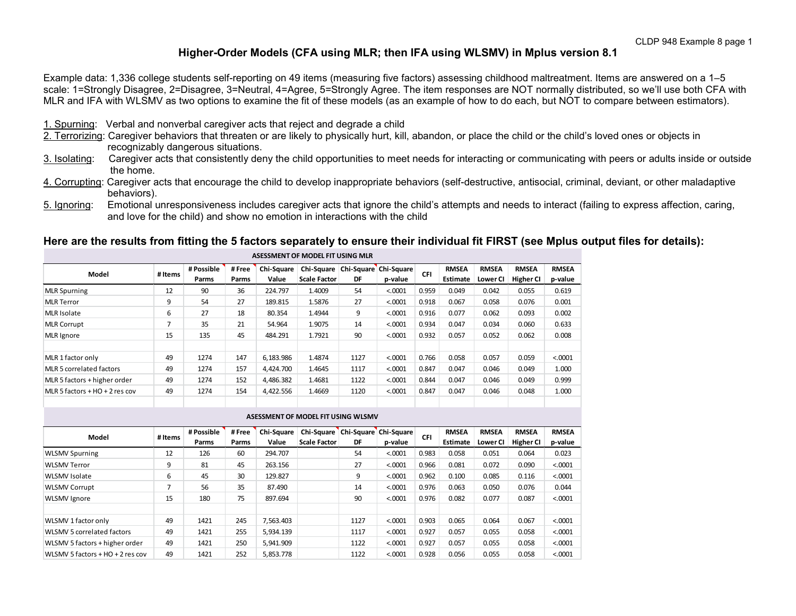## **Higher-Order Models (CFA using MLR; then IFA using WLSMV) in Mplus version 8.1**

Example data: 1,336 college students self-reporting on 49 items (measuring five factors) assessing childhood maltreatment. Items are answered on a 1–5 scale: 1=Strongly Disagree, 2=Disagree, 3=Neutral, 4=Agree, 5=Strongly Agree. The item responses are NOT normally distributed, so we'll use both CFA with MLR and IFA with WLSMV as two options to examine the fit of these models (as an example of how to do each, but NOT to compare between estimators).

- 1. Spurning: Verbal and nonverbal caregiver acts that reject and degrade a child
- 2. Terrorizing: Caregiver behaviors that threaten or are likely to physically hurt, kill, abandon, or place the child or the child's loved ones or objects in recognizably dangerous situations.<br>3. Isolating: Caregiver acts that consistently der
- Caregiver acts that consistently deny the child opportunities to meet needs for interacting or communicating with peers or adults inside or outside the home.
- 4. Corrupting: Caregiver acts that encourage the child to develop inappropriate behaviors (self-destructive, antisocial, criminal, deviant, or other maladaptive behaviors).
- 5. Ignoring: Emotional unresponsiveness includes caregiver acts that ignore the child's attempts and needs to interact (failing to express affection, caring, and love for the child) and show no emotion in interactions with the child

### **Here are the results from fitting the 5 factors separately to ensure their individual fit FIRST (see Mplus output files for details):**

|                                |         |                     |                 |                            | AJLJJIVILIV I UI IVIUDLL I II UJIIVU IVILIV |      |                                                   |       |                          |                          |                                  |                         |
|--------------------------------|---------|---------------------|-----------------|----------------------------|---------------------------------------------|------|---------------------------------------------------|-------|--------------------------|--------------------------|----------------------------------|-------------------------|
| Model                          | # Items | # Possible<br>Parms | # Free<br>Parms | <b>Chi-Square</b><br>Value | <b>Scale Factor</b>                         | DF   | Chi-Square   Chi-Square   Chi-Square  <br>p-value | CFI   | <b>RMSEA</b><br>Estimate | <b>RMSEA</b><br>Lower Cl | <b>RMSEA</b><br><b>Higher CI</b> | <b>RMSEA</b><br>p-value |
| <b>MLR Spurning</b>            | 12      | 90                  | 36              | 224.797                    | 1.4009                                      | 54   | < 0.0001                                          | 0.959 | 0.049                    | 0.042                    | 0.055                            | 0.619                   |
| <b>MLR Terror</b>              | 9       | 54                  | 27              | 189.815                    | 1.5876                                      | 27   | < 0.0001                                          | 0.918 | 0.067                    | 0.058                    | 0.076                            | 0.001                   |
| <b>MLR</b> Isolate             | 6       | 27                  | 18              | 80.354                     | 1.4944                                      | 9    | < 0.0001                                          | 0.916 | 0.077                    | 0.062                    | 0.093                            | 0.002                   |
| <b>MLR Corrupt</b>             | ⇁       | 35                  | 21              | 54.964                     | 1.9075                                      | 14   | < 0.0001                                          | 0.934 | 0.047                    | 0.034                    | 0.060                            | 0.633                   |
| MLR Ignore                     | 15      | 135                 | 45              | 484.291                    | 1.7921                                      | 90   | < 0.0001                                          | 0.932 | 0.057                    | 0.052                    | 0.062                            | 0.008                   |
| MLR 1 factor only              | 49      | 1274                | 147             | 6.183.986                  | 1.4874                                      | 1127 | < 0.0001                                          | 0.766 | 0.058                    | 0.057                    | 0.059                            | < 0.0001                |
| MLR 5 correlated factors       | 49      | 1274                | 157             | 4.424.700                  | 1.4645                                      | 1117 | < 0.0001                                          | 0.847 | 0.047                    | 0.046                    | 0.049                            | 1.000                   |
| MLR 5 factors + higher order   | 49      | 1274                | 152             | 4,486.382                  | 1.4681                                      | 1122 | < 0.0001                                          | 0.844 | 0.047                    | 0.046                    | 0.049                            | 0.999                   |
| MLR 5 factors + HO + 2 res cov | 49      | 1274                | 154             | 4,422.556                  | 1.4669                                      | 1120 | < 0.0001                                          | 0.847 | 0.047                    | 0.046                    | 0.048                            | 1.000                   |
|                                |         |                     |                 |                            |                                             |      |                                                   |       |                          |                          |                                  |                         |

**ASESSMENT OF MODEL FIT USING MLR**

|                                   |         |                     |                | ASESSMENT OF MODEL FIT USING WLSMV |                                   |      |                                  |       |                          |                          |                                  |                         |
|-----------------------------------|---------|---------------------|----------------|------------------------------------|-----------------------------------|------|----------------------------------|-------|--------------------------|--------------------------|----------------------------------|-------------------------|
| Model                             | # Items | # Possible<br>Parms | #Free<br>Parms | Chi-Sauare<br>Value                | Chi-Square<br><b>Scale Factor</b> | DF   | Chi-Square Chi-Square<br>p-value | CFI   | <b>RMSEA</b><br>Estimate | <b>RMSEA</b><br>Lower Cl | <b>RMSEA</b><br><b>Higher CI</b> | <b>RMSEA</b><br>p-value |
| <b>WLSMV Spurning</b>             | 12      | 126                 | 60             | 294.707                            |                                   | 54   | < .0001                          | 0.983 | 0.058                    | 0.051                    | 0.064                            | 0.023                   |
| <b>WLSMV Terror</b>               | 9       | 81                  | 45             | 263.156                            |                                   | 27   | < 0.0001                         | 0.966 | 0.081                    | 0.072                    | 0.090                            | < .0001                 |
| <b>WLSMV Isolate</b>              | 6       | 45                  | 30             | 129.827                            |                                   | 9    | < 0.0001                         | 0.962 | 0.100                    | 0.085                    | 0.116                            | < .0001                 |
| <b>WLSMV Corrupt</b>              | ÷,      | 56                  | 35             | 87.490                             |                                   | 14   | < .0001                          | 0.976 | 0.063                    | 0.050                    | 0.076                            | 0.044                   |
| <b>WLSMV Ignore</b>               | 15      | 180                 | 75             | 897.694                            |                                   | 90   | < .0001                          | 0.976 | 0.082                    | 0.077                    | 0.087                            | < .0001                 |
|                                   |         |                     |                |                                    |                                   |      |                                  |       |                          |                          |                                  |                         |
| WLSMV 1 factor only               | 49      | 1421                | 245            | 7,563.403                          |                                   | 1127 | < 0.0001                         | 0.903 | 0.065                    | 0.064                    | 0.067                            | < 0.0001                |
| <b>WLSMV 5 correlated factors</b> | 49      | 1421                | 255            | 5,934.139                          |                                   | 1117 | < 0.0001                         | 0.927 | 0.057                    | 0.055                    | 0.058                            | < 0.0001                |
| WLSMV 5 factors + higher order    | 49      | 1421                | 250            | 5,941.909                          |                                   | 1122 | < 0.0001                         | 0.927 | 0.057                    | 0.055                    | 0.058                            | < 0.0001                |
| WLSMV 5 factors + HO + 2 res cov  | 49      | 1421                | 252            | 5,853.778                          |                                   | 1122 | < 0.0001                         | 0.928 | 0.056                    | 0.055                    | 0.058                            | < 0.0001                |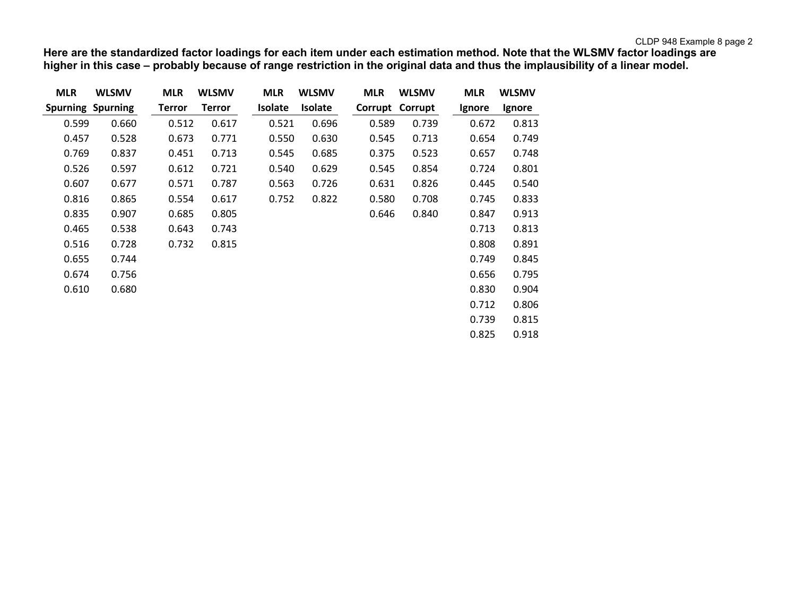**Here are the standardized factor loadings for each item under each estimation method. Note that the WLSMV factor loadings are higher in this case – probably because of range restriction in the original data and thus the implausibility of a linear model.**

| <b>MLR</b>               | <b>WLSMV</b> | <b>MLR</b>    | <b>WLSMV</b>  | <b>MLR</b>     | <b>WLSMV</b>   | <b>MLR</b> | <b>WLSMV</b> | <b>MLR</b> | <b>WLSMV</b> |
|--------------------------|--------------|---------------|---------------|----------------|----------------|------------|--------------|------------|--------------|
| <b>Spurning Spurning</b> |              | <b>Terror</b> | <b>Terror</b> | <b>Isolate</b> | <b>Isolate</b> | Corrupt    | Corrupt      | Ignore     | Ignore       |
| 0.599                    | 0.660        | 0.512         | 0.617         | 0.521          | 0.696          | 0.589      | 0.739        | 0.672      | 0.813        |
| 0.457                    | 0.528        | 0.673         | 0.771         | 0.550          | 0.630          | 0.545      | 0.713        | 0.654      | 0.749        |
| 0.769                    | 0.837        | 0.451         | 0.713         | 0.545          | 0.685          | 0.375      | 0.523        | 0.657      | 0.748        |
| 0.526                    | 0.597        | 0.612         | 0.721         | 0.540          | 0.629          | 0.545      | 0.854        | 0.724      | 0.801        |
| 0.607                    | 0.677        | 0.571         | 0.787         | 0.563          | 0.726          | 0.631      | 0.826        | 0.445      | 0.540        |
| 0.816                    | 0.865        | 0.554         | 0.617         | 0.752          | 0.822          | 0.580      | 0.708        | 0.745      | 0.833        |
| 0.835                    | 0.907        | 0.685         | 0.805         |                |                | 0.646      | 0.840        | 0.847      | 0.913        |
| 0.465                    | 0.538        | 0.643         | 0.743         |                |                |            |              | 0.713      | 0.813        |
| 0.516                    | 0.728        | 0.732         | 0.815         |                |                |            |              | 0.808      | 0.891        |
| 0.655                    | 0.744        |               |               |                |                |            |              | 0.749      | 0.845        |
| 0.674                    | 0.756        |               |               |                |                |            |              | 0.656      | 0.795        |
| 0.610                    | 0.680        |               |               |                |                |            |              | 0.830      | 0.904        |
|                          |              |               |               |                |                |            |              | 0.712      | 0.806        |
|                          |              |               |               |                |                |            |              | 0.739      | 0.815        |
|                          |              |               |               |                |                |            |              | 0.825      | 0.918        |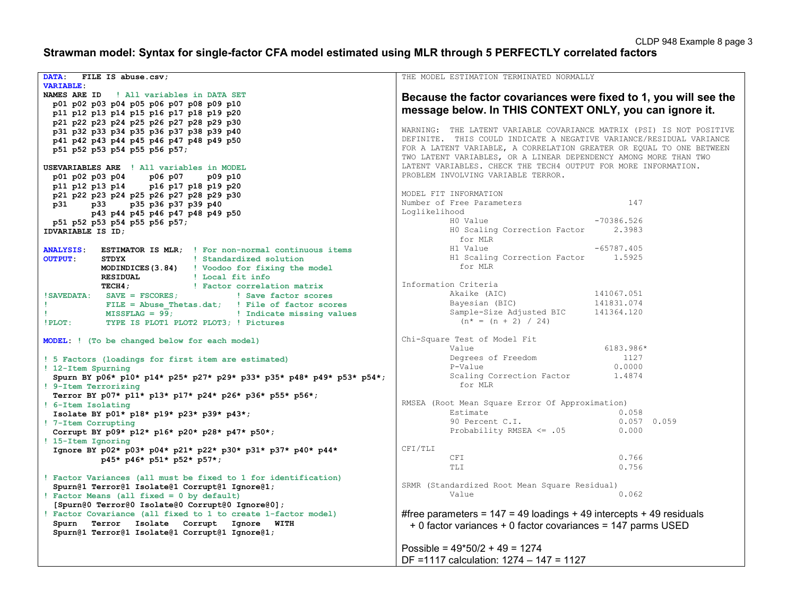# **Strawman model: Syntax for single-factor CFA model estimated using MLR through 5 PERFECTLY correlated factors**

| DATA:<br>FILE IS abuse.csv;                                                                                 | THE MODEL ESTIMATION TERMINATED NORMALLY                                           |
|-------------------------------------------------------------------------------------------------------------|------------------------------------------------------------------------------------|
| <b>VARIABLE:</b>                                                                                            |                                                                                    |
| NAMES ARE ID<br>! All variables in DATA SET                                                                 | Because the factor covariances were fixed to 1, you will see the                   |
| p01 p02 p03 p04 p05 p06 p07 p08 p09 p10                                                                     |                                                                                    |
| p11 p12 p13 p14 p15 p16 p17 p18 p19 p20                                                                     | message below. In THIS CONTEXT ONLY, you can ignore it.                            |
| p21 p22 p23 p24 p25 p26 p27 p28 p29 p30                                                                     |                                                                                    |
| p31 p32 p33 p34 p35 p36 p37 p38 p39 p40                                                                     | WARNING: THE LATENT VARIABLE COVARIANCE MATRIX (PSI) IS NOT POSITIVE               |
|                                                                                                             | DEFINITE. THIS COULD INDICATE A NEGATIVE VARIANCE/RESIDUAL VARIANCE                |
| p41 p42 p43 p44 p45 p46 p47 p48 p49 p50                                                                     | FOR A LATENT VARIABLE, A CORRELATION GREATER OR EQUAL TO ONE BETWEEN               |
| p51 p52 p53 p54 p55 p56 p57;                                                                                |                                                                                    |
|                                                                                                             | TWO LATENT VARIABLES, OR A LINEAR DEPENDENCY AMONG MORE THAN TWO                   |
| USEVARIABLES ARE ! All variables in MODEL                                                                   | LATENT VARIABLES. CHECK THE TECH4 OUTPUT FOR MORE INFORMATION.                     |
| p01 p02 p03 p04 p06 p07<br>p09 p10                                                                          | PROBLEM INVOLVING VARIABLE TERROR.                                                 |
| p11 p12 p13 p14 p16 p17 p18 p19 p20                                                                         |                                                                                    |
| p21 p22 p23 p24 p25 p26 p27 p28 p29 p30                                                                     | MODEL FIT INFORMATION                                                              |
| p31 p33 p35 p36 p37 p39 p40                                                                                 | 147<br>Number of Free Parameters                                                   |
| p43 p44 p45 p46 p47 p48 p49 p50                                                                             | Loglikelihood                                                                      |
|                                                                                                             | H0 Value<br>$-70386.526$                                                           |
| p51 p52 p53 p54 p55 p56 p57;                                                                                | HO Scaling Correction Factor<br>2.3983                                             |
| IDVARIABLE IS ID;                                                                                           | for MLR                                                                            |
| <b>ANALYSIS:</b><br><b>ESTIMATOR IS MLR;</b> ! For non-normal continuous items                              | $-65787.405$<br>H1 Value                                                           |
| STDYX 9.1   Standardized solution<br><b>OUTPUT:</b>                                                         | H1 varue<br>H1 Scaling Correction Factor 1.5925                                    |
| <b>MODINDICES (3.84)</b> ! Voodoo for fixing the model                                                      | for MLR                                                                            |
|                                                                                                             |                                                                                    |
| RESIDUAL   Local fit info                                                                                   | Information Criteria                                                               |
| TECH4; TECH4; TECH4; Internal Pactor correlation matrix                                                     |                                                                                    |
|                                                                                                             | Akaike (AIC)<br>141067.051                                                         |
|                                                                                                             | Bayesian (BIC)<br>Bayesian (BIC) 141831.074<br>Sample-Size Adjusted BIC 141364.120 |
| FILE = Abuse_Thetas.dat;<br>MISSFLAG = $99$ ;<br>MISSFLAG = $99$ ;<br>MISSFLAG = $99$ ;<br>MISSFLAG = $100$ |                                                                                    |
| !PLOT: TYPE IS PLOT1 PLOT2 PLOT3; ! Pictures                                                                | $(n^* = (n + 2) / 24)$                                                             |
|                                                                                                             |                                                                                    |
| MODEL: ! (To be changed below for each model)                                                               | Chi-Square Test of Model Fit                                                       |
|                                                                                                             | 6183.986*<br>Value                                                                 |
| ! 5 Factors (loadings for first item are estimated)                                                         | Degrees of Freedom<br>1127                                                         |
| ! 12-Item Spurning                                                                                          | 0.0000<br>P-Value                                                                  |
| Spurn BY p06* p10* p14* p25* p27* p29* p33* p35* p48* p49* p53* p54*;                                       | Scaling Correction Factor 1.4874                                                   |
| ! 9-Item Terrorizing                                                                                        | for MLR                                                                            |
|                                                                                                             |                                                                                    |
| Terror BY p07* p11* p13* p17* p24* p26* p36* p55* p56*;                                                     | RMSEA (Root Mean Square Error Of Approximation)                                    |
| ! 6-Item Isolating                                                                                          | Estimate<br>0.058                                                                  |
| Isolate BY p01* p18* p19* p23* p39* p43*;                                                                   |                                                                                    |
| ! 7-Item Corrupting                                                                                         | 90 Percent C.I.<br>$0.057$ 0.059                                                   |
| Corrupt BY p09* p12* p16* p20* p28* p47* p50*;                                                              | Probability RMSEA <= .05<br>0.000                                                  |
| ! 15-Item Ignoring                                                                                          |                                                                                    |
| Ignore BY p02* p03* p04* p21* p22* p30* p31* p37* p40* p44*                                                 | CFI/TLI                                                                            |
| p45* p46* p51* p52* p57*;                                                                                   | 0.766<br>CFI                                                                       |
|                                                                                                             | 0.756<br>TLI                                                                       |
| ! Factor Variances (all must be fixed to 1 for identification)                                              |                                                                                    |
|                                                                                                             | SRMR (Standardized Root Mean Square Residual)                                      |
| Spurn@1 Terror@1 Isolate@1 Corrupt@1 Ignore@1;                                                              | Value<br>0.062                                                                     |
| ! Factor Means (all fixed = 0 by default)                                                                   |                                                                                    |
| [Spurn@0 Terror@0 Isolate@0 Corrupt@0 Ignore@0];                                                            |                                                                                    |
| ! Factor Covariance (all fixed to 1 to create 1-factor model)                                               | #free parameters = $147 = 49$ loadings + 49 intercepts + 49 residuals              |
| Spurn Terror Isolate Corrupt Ignore WITH                                                                    | + 0 factor variances + 0 factor covariances = 147 parms USED                       |
| Spurn@1 Terror@1 Isolate@1 Corrupt@1 Ignore@1;                                                              |                                                                                    |
|                                                                                                             |                                                                                    |
|                                                                                                             | Possible = $49*50/2 + 49 = 1274$                                                   |
|                                                                                                             | DF =1117 calculation: 1274 - 147 = 1127                                            |
|                                                                                                             |                                                                                    |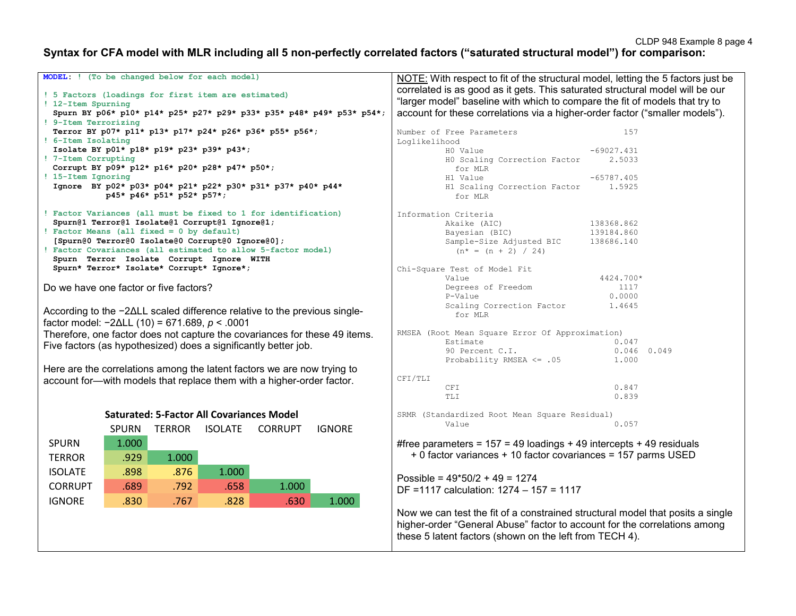## **Syntax for CFA model with MLR including all 5 non-perfectly correlated factors ("saturated structural model") for comparison:**

| MODEL: ! (To be changed below for each model)                             |                           |       |                                                  |                                                                            |                                                                               | NOTE: With respect to fit of the structural model, letting the 5 factors just be |                        |  |  |
|---------------------------------------------------------------------------|---------------------------|-------|--------------------------------------------------|----------------------------------------------------------------------------|-------------------------------------------------------------------------------|----------------------------------------------------------------------------------|------------------------|--|--|
|                                                                           |                           |       |                                                  |                                                                            | correlated is as good as it gets. This saturated structural model will be our |                                                                                  |                        |  |  |
| ! 5 Factors (loadings for first item are estimated)<br>! 12-Item Spurning |                           |       |                                                  |                                                                            | "larger model" baseline with which to compare the fit of models that try to   |                                                                                  |                        |  |  |
|                                                                           |                           |       |                                                  | Spurn BY p06* p10* p14* p25* p27* p29* p33* p35* p48* p49* p53* p54*;      |                                                                               | account for these correlations via a higher-order factor ("smaller models").     |                        |  |  |
| ! 9-Item Terrorizing                                                      |                           |       |                                                  |                                                                            |                                                                               |                                                                                  |                        |  |  |
|                                                                           |                           |       |                                                  | Terror BY p07* p11* p13* p17* p24* p26* p36* p55* p56*;                    |                                                                               | Number of Free Parameters                                                        | 157                    |  |  |
| ! 6-Item Isolating                                                        |                           |       |                                                  |                                                                            | Loglikelihood                                                                 |                                                                                  |                        |  |  |
| ! 7-Item Corrupting                                                       |                           |       | Isolate BY p01* p18* p19* p23* p39* p43*;        |                                                                            |                                                                               | H0 Value<br>HO Scaling Correction Factor                                         | $-69027.431$<br>2.5033 |  |  |
|                                                                           |                           |       | Corrupt BY p09* p12* p16* p20* p28* p47* p50*;   |                                                                            |                                                                               | for MLR                                                                          |                        |  |  |
| ! 15-Item Ignoring                                                        |                           |       |                                                  |                                                                            |                                                                               | H1 Value                                                                         | $-65787.405$           |  |  |
|                                                                           |                           |       |                                                  | Ignore BY p02* p03* p04* p21* p22* p30* p31* p37* p40* p44*                |                                                                               | H1 Scaling Correction Factor                                                     | 1.5925                 |  |  |
|                                                                           | p45* p46* p51* p52* p57*; |       |                                                  |                                                                            |                                                                               | for MLR                                                                          |                        |  |  |
|                                                                           |                           |       |                                                  | ! Factor Variances (all must be fixed to 1 for identification)             |                                                                               | Information Criteria                                                             |                        |  |  |
|                                                                           |                           |       | Spurn@1 Terror@1 Isolate@1 Corrupt@1 Ignore@1;   |                                                                            |                                                                               | Akaike (AIC)                                                                     | 138368.862             |  |  |
| Factor Means (all fixed = $0$ by default)                                 |                           |       |                                                  |                                                                            |                                                                               | Bayesian (BIC)                                                                   | 139184.860             |  |  |
|                                                                           |                           |       | [Spurn@0 Terror@0 Isolate@0 Corrupt@0 Ignore@0]; | Factor Covariances (all estimated to allow 5-factor model)                 |                                                                               | Sample-Size Adjusted BIC                                                         | 138686.140             |  |  |
|                                                                           |                           |       | Spurn Terror Isolate Corrupt Ignore WITH         |                                                                            |                                                                               | $(n^* = (n + 2) / 24)$                                                           |                        |  |  |
|                                                                           |                           |       | Spurn* Terror* Isolate* Corrupt* Ignore*;        |                                                                            |                                                                               | Chi-Square Test of Model Fit                                                     |                        |  |  |
|                                                                           |                           |       |                                                  |                                                                            |                                                                               | Value                                                                            | 4424.700*              |  |  |
| Do we have one factor or five factors?                                    |                           |       |                                                  |                                                                            |                                                                               | Degrees of Freedom                                                               | 1117                   |  |  |
|                                                                           |                           |       |                                                  |                                                                            |                                                                               | P-Value                                                                          | 0.0000                 |  |  |
|                                                                           |                           |       |                                                  | According to the −2∆LL scaled difference relative to the previous single-  |                                                                               | Scaling Correction Factor                                                        | 1.4645                 |  |  |
| factor model: $-2\Delta L L$ (10) = 671.689, $p < .0001$                  |                           |       |                                                  |                                                                            |                                                                               | for MLR                                                                          |                        |  |  |
|                                                                           |                           |       |                                                  | Therefore, one factor does not capture the covariances for these 49 items. |                                                                               | RMSEA (Root Mean Square Error Of Approximation)                                  |                        |  |  |
|                                                                           |                           |       |                                                  | Five factors (as hypothesized) does a significantly better job.            |                                                                               | Estimate                                                                         | 0.047                  |  |  |
|                                                                           |                           |       |                                                  |                                                                            |                                                                               | 90 Percent C.I.                                                                  | $0.046$ 0.049          |  |  |
|                                                                           |                           |       |                                                  |                                                                            |                                                                               | Probability RMSEA <= .05                                                         | 1,000                  |  |  |
|                                                                           |                           |       |                                                  | Here are the correlations among the latent factors we are now trying to    | CFI/TLI                                                                       |                                                                                  |                        |  |  |
|                                                                           |                           |       |                                                  | account for-with models that replace them with a higher-order factor.      |                                                                               | <b>CFI</b>                                                                       | 0.847                  |  |  |
|                                                                           |                           |       |                                                  |                                                                            |                                                                               | <b>TLI</b>                                                                       | 0.839                  |  |  |
|                                                                           |                           |       |                                                  |                                                                            |                                                                               |                                                                                  |                        |  |  |
|                                                                           |                           |       | <b>Saturated: 5-Factor All Covariances Model</b> |                                                                            |                                                                               | SRMR (Standardized Root Mean Square Residual)<br>Value                           | 0.057                  |  |  |
|                                                                           | <b>SPURN</b>              |       | TERROR ISOLATE                                   | <b>CORRUPT</b><br><b>IGNORE</b>                                            |                                                                               |                                                                                  |                        |  |  |
| <b>SPURN</b>                                                              | 1.000                     |       |                                                  |                                                                            |                                                                               | #free parameters = $157 = 49$ loadings + 49 intercepts + 49 residuals            |                        |  |  |
| <b>TERROR</b>                                                             | .929                      | 1.000 |                                                  |                                                                            |                                                                               | + 0 factor variances + 10 factor covariances = 157 parms USED                    |                        |  |  |
| <b>ISOLATE</b>                                                            | .898                      | .876  | 1.000                                            |                                                                            |                                                                               |                                                                                  |                        |  |  |
|                                                                           |                           |       |                                                  |                                                                            |                                                                               | Possible = $49*50/2 + 49 = 1274$                                                 |                        |  |  |
| <b>CORRUPT</b>                                                            | .689                      | .792  | .658                                             | 1.000                                                                      |                                                                               | DF = 1117 calculation: 1274 - 157 = 1117                                         |                        |  |  |
| <b>IGNORE</b>                                                             | .830                      | .767  | .828                                             | .630<br>1.000                                                              |                                                                               |                                                                                  |                        |  |  |
|                                                                           |                           |       |                                                  |                                                                            |                                                                               | Now we can test the fit of a constrained structural model that posits a single   |                        |  |  |
|                                                                           |                           |       |                                                  |                                                                            |                                                                               | higher-order "General Abuse" factor to account for the correlations among        |                        |  |  |
|                                                                           |                           |       |                                                  |                                                                            |                                                                               | these 5 latent factors (shown on the left from TECH 4).                          |                        |  |  |
|                                                                           |                           |       |                                                  |                                                                            |                                                                               |                                                                                  |                        |  |  |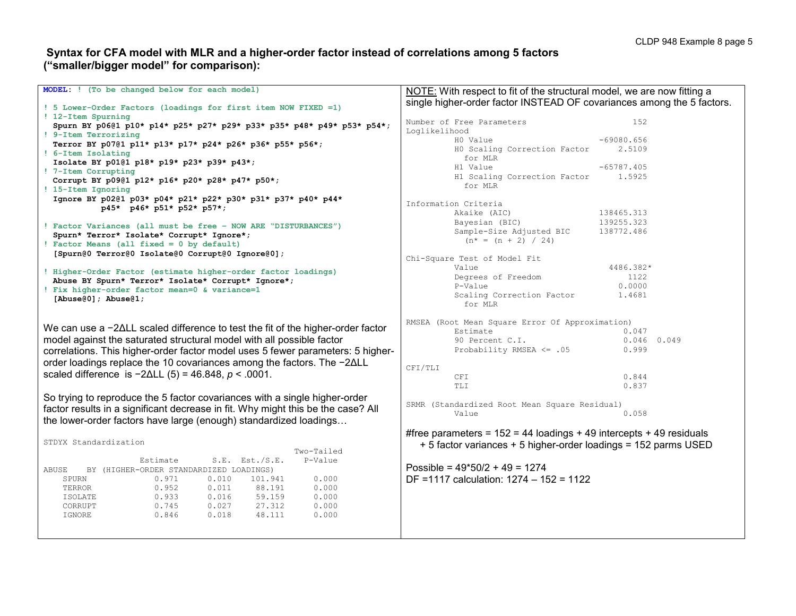### **Syntax for CFA model with MLR and a higher-order factor instead of correlations among 5 factors ("smaller/bigger model" for comparison):**

| MODEL: ! (To be changed below for each model)                                                                                                                                                                                       | NOTE: With respect to fit of the structural model, we are now fitting a                                  |
|-------------------------------------------------------------------------------------------------------------------------------------------------------------------------------------------------------------------------------------|----------------------------------------------------------------------------------------------------------|
| ! 5 Lower-Order Factors (loadings for first item NOW FIXED =1)                                                                                                                                                                      | single higher-order factor INSTEAD OF covariances among the 5 factors.                                   |
| ! 12-Item Spurning                                                                                                                                                                                                                  |                                                                                                          |
| Spurn BY p0601 p10* p14* p25* p27* p29* p33* p35* p48* p49* p53* p54*;                                                                                                                                                              | Number of Free Parameters<br>152                                                                         |
| ! 9-Item Terrorizing                                                                                                                                                                                                                | Loglikelihood                                                                                            |
| Terror BY p0701 p11* p13* p17* p24* p26* p36* p55* p56*;                                                                                                                                                                            | $-69080.656$<br>H0 Value                                                                                 |
| ! 6-Item Isolating                                                                                                                                                                                                                  | HO Scaling Correction Factor<br>2.5109                                                                   |
| Isolate BY p0101 p18* p19* p23* p39* p43*;                                                                                                                                                                                          | for MLR                                                                                                  |
| ! 7-Item Corrupting                                                                                                                                                                                                                 | H1 Value<br>$-65787.405$                                                                                 |
| Corrupt BY p0901 p12* p16* p20* p28* p47* p50*;                                                                                                                                                                                     | H1 Scaling Correction Factor<br>1.5925                                                                   |
| ! 15-Item Ignoring                                                                                                                                                                                                                  | for MLR                                                                                                  |
| Ignore BY p0201 p03* p04* p21* p22* p30* p31* p37* p40* p44*                                                                                                                                                                        | Information Criteria                                                                                     |
| p45* p46* p51* p52* p57*;                                                                                                                                                                                                           |                                                                                                          |
|                                                                                                                                                                                                                                     | Akaike (AIC)<br>138465.313<br>139255.323                                                                 |
| ! Factor Variances (all must be free - NOW ARE "DISTURBANCES")                                                                                                                                                                      | Bayesian (BIC)<br>Sample-Size Adjusted BIC<br>138772.486                                                 |
| Spurn* Terror* Isolate* Corrupt* Ignore*;                                                                                                                                                                                           | $(n* = (n + 2) / 24)$                                                                                    |
| ! Factor Means (all fixed = 0 by default)                                                                                                                                                                                           |                                                                                                          |
| [Spurn@0 Terror@0 Isolate@0 Corrupt@0 Ignore@0];                                                                                                                                                                                    | Chi-Square Test of Model Fit                                                                             |
|                                                                                                                                                                                                                                     | 4486.382*<br>Value                                                                                       |
| ! Higher-Order Factor (estimate higher-order factor loadings)                                                                                                                                                                       | Degrees of Freedom<br>1122                                                                               |
| Abuse BY Spurn* Terror* Isolate* Corrupt* Ignore*;                                                                                                                                                                                  | P-Value<br>0.0000                                                                                        |
| ! Fix higher-order factor mean=0 & variance=1                                                                                                                                                                                       | Scaling Correction Factor<br>1.4681                                                                      |
| [Abuse $(0)$ ]; Abuse $(1)$ ;                                                                                                                                                                                                       | for MLR                                                                                                  |
| We can use a −2∆LL scaled difference to test the fit of the higher-order factor<br>model against the saturated structural model with all possible factor                                                                            | RMSEA (Root Mean Square Error Of Approximation)<br>Estimate<br>0.047<br>90 Percent C.I.<br>$0.046$ 0.049 |
| correlations. This higher-order factor model uses 5 fewer parameters: 5 higher-<br>order loadings replace the 10 covariances among the factors. The -2∆LL                                                                           | Probability RMSEA <= .05<br>0.999                                                                        |
|                                                                                                                                                                                                                                     | CFI/TLI                                                                                                  |
| scaled difference is $-2\Delta L L$ (5) = 46.848, $p < .0001$ .                                                                                                                                                                     | 0.844<br>CFI                                                                                             |
|                                                                                                                                                                                                                                     | 0.837<br>TLI                                                                                             |
| So trying to reproduce the 5 factor covariances with a single higher-order<br>factor results in a significant decrease in fit. Why might this be the case? All<br>the lower-order factors have large (enough) standardized loadings | SRMR (Standardized Root Mean Square Residual)<br>Value<br>0.058                                          |
|                                                                                                                                                                                                                                     | #free parameters = $152 = 44$ loadings + 49 intercepts + 49 residuals                                    |
| STDYX Standardization                                                                                                                                                                                                               | + 5 factor variances + 5 higher-order loadings = 152 parms USED                                          |
| Two-Tailed                                                                                                                                                                                                                          |                                                                                                          |
| Estimate<br>$S.E.$ Est./S.E.<br>P-Value<br>ABUSE<br>BY (HIGHER-ORDER STANDARDIZED LOADINGS)                                                                                                                                         | Possible = $49*50/2 + 49 = 1274$                                                                         |
| SPURN<br>0.971<br>0.010<br>101.941<br>0.000                                                                                                                                                                                         | DF =1117 calculation: 1274 - 152 = 1122                                                                  |
| 0.952<br>0.011<br>88.191<br>0.000<br>TERROR                                                                                                                                                                                         |                                                                                                          |
| 0.933<br>0.016<br>59.159<br>0.000<br>ISOLATE                                                                                                                                                                                        |                                                                                                          |
| 0.745<br>0.027<br>27.312<br>0.000<br>CORRUPT                                                                                                                                                                                        |                                                                                                          |
| 0.846<br>48.111<br>0.018<br>0.000<br>IGNORE                                                                                                                                                                                         |                                                                                                          |
|                                                                                                                                                                                                                                     |                                                                                                          |
|                                                                                                                                                                                                                                     |                                                                                                          |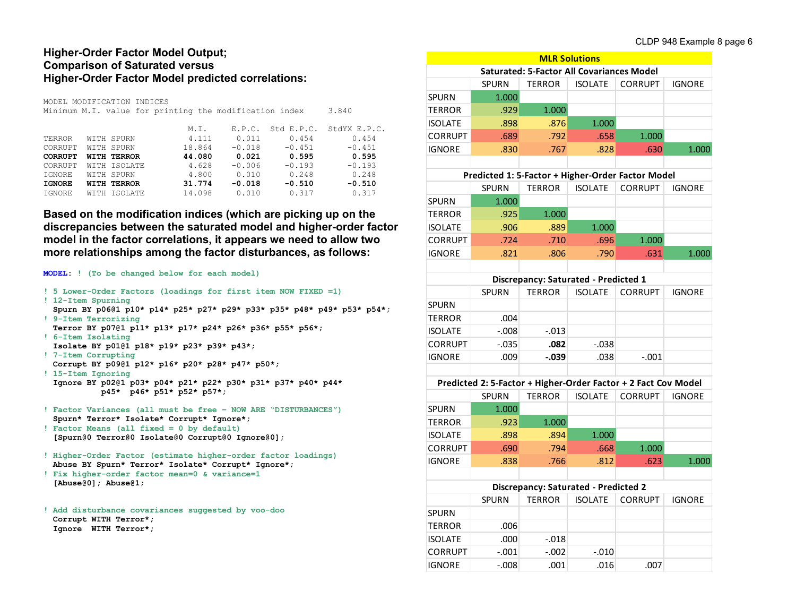### **Higher-Order Factor Model Output; Comparison of Saturated versus Higher-Order Factor Model predicted correlations:**

|                                                                 |  | MODEL MODIFICATION INDICES |        |          |            |              |
|-----------------------------------------------------------------|--|----------------------------|--------|----------|------------|--------------|
| Minimum M.I. value for printing the modification index<br>3.840 |  |                            |        |          |            |              |
|                                                                 |  |                            | M.I.   | E.P.C.   | Std E.P.C. | StdYX E.P.C. |
| TERROR                                                          |  | WITH SPURN                 | 4.111  | 0.011    | 0.454      | 0.454        |
| CORRUPT                                                         |  | WITH SPURN                 | 18.864 | $-0.018$ | $-0.451$   | $-0.451$     |
| <b>CORRUPT</b>                                                  |  | WITH TERROR                | 44.080 | 0.021    | 0.595      | 0.595        |
| CORRUPT                                                         |  | WITH ISOLATE               | 4.628  | $-0.006$ | $-0.193$   | $-0.193$     |
| IGNORE                                                          |  | WITH SPURN                 | 4.800  | 0.010    | 0.248      | 0.248        |
| <b>IGNORE</b>                                                   |  | WITH TERROR                | 31.774 | $-0.018$ | $-0.510$   | $-0.510$     |
| IGNORE                                                          |  | WITH ISOLATE               | 14.098 | 0.010    | 0.317      | 0.317        |
|                                                                 |  |                            |        |          |            |              |

**Based on the modification indices (which are picking up on the discrepancies between the saturated model and higher-order factor model in the factor correlations, it appears we need to allow two more relationships among the factor disturbances, as follows:**

#### **MODEL: ! (To be changed below for each model)**

| ! 5 Lower-Order Factors (loadings for first item NOW FIXED =1)         |
|------------------------------------------------------------------------|
| ! 12-Item Spurning                                                     |
| Spurn BY p06@1 p10* p14* p25* p27* p29* p33* p35* p48* p49* p53* p54*; |
| ! 9-Item Terrorizing                                                   |
| Terror BY p0701 p11* p13* p17* p24* p26* p36* p55* p56*;               |
| ! 6-Item Isolating                                                     |
| Isolate BY p0101 p18* p19* p23* p39* p43*;                             |
| ! 7-Item Corrupting                                                    |
| Corrupt BY p0901 p12* p16* p20* p28* p47* p50*;                        |

- **! 15-Item Ignoring Ignore BY p02@1 p03\* p04\* p21\* p22\* p30\* p31\* p37\* p40\* p44\* p45\* p46\* p51\* p52\* p57\*;**
- **! Factor Variances (all must be free – NOW ARE "DISTURBANCES") Spurn\* Terror\* Isolate\* Corrupt\* Ignore\*;**
- **! Factor Means (all fixed = 0 by default) [Spurn@0 Terror@0 Isolate@0 Corrupt@0 Ignore@0];**
- **! Higher-Order Factor (estimate higher-order factor loadings) Abuse BY Spurn\* Terror\* Isolate\* Corrupt\* Ignore\*;**
- **! Fix higher-order factor mean=0 & variance=1 [Abuse@0]; Abuse@1;**

**! Add disturbance covariances suggested by voo-doo Corrupt WITH Terror\*; Ignore WITH Terror\*;**

| <b>MLR Solutions</b>                        |                                                                |                                                  |                |                |               |  |
|---------------------------------------------|----------------------------------------------------------------|--------------------------------------------------|----------------|----------------|---------------|--|
|                                             |                                                                | <b>Saturated: 5-Factor All Covariances Model</b> |                |                |               |  |
|                                             | SPURN                                                          | TERROR                                           | <b>ISOLATE</b> | <b>CORRUPT</b> | <b>IGNORE</b> |  |
| <b>SPURN</b>                                | 1.000                                                          |                                                  |                |                |               |  |
| <b>TERROR</b>                               | .929                                                           | 1.000                                            |                |                |               |  |
| <b>ISOLATE</b>                              | .898                                                           | .876                                             | 1.000          |                |               |  |
| <b>CORRUPT</b>                              | .689                                                           | .792                                             | .658           | 1.000          |               |  |
| <b>IGNORE</b>                               | .830                                                           | .767                                             | .828           | .630           | 1.000         |  |
|                                             |                                                                |                                                  |                |                |               |  |
|                                             | Predicted 1: 5-Factor + Higher-Order Factor Model              |                                                  |                |                |               |  |
|                                             | <b>SPURN</b>                                                   | <b>TERROR</b>                                    | <b>ISOLATE</b> | <b>CORRUPT</b> | <b>IGNORE</b> |  |
| SPURN                                       | 1.000                                                          |                                                  |                |                |               |  |
| <b>TERROR</b>                               | .925                                                           | 1.000                                            |                |                |               |  |
| <b>ISOLATE</b>                              | .906                                                           | .889                                             | 1.000          |                |               |  |
| <b>CORRUPT</b>                              | .724                                                           | .710                                             | .696           | 1.000          |               |  |
| <b>IGNORE</b>                               | .821                                                           | .806                                             | .790           | .631           | 1.000         |  |
|                                             |                                                                |                                                  |                |                |               |  |
|                                             |                                                                | Discrepancy: Saturated - Predicted 1             |                |                |               |  |
|                                             | <b>SPURN</b>                                                   | TERROR                                           | <b>ISOLATE</b> | <b>CORRUPT</b> | <b>IGNORE</b> |  |
| SPURN                                       |                                                                |                                                  |                |                |               |  |
| <b>TERROR</b>                               | .004                                                           |                                                  |                |                |               |  |
| <b>ISOLATE</b>                              | $-0.008$                                                       | $-.013$                                          |                |                |               |  |
| <b>CORRUPT</b>                              | $-.035$                                                        | .082                                             | $-.038$        |                |               |  |
| <b>IGNORE</b>                               | .009                                                           | $-0.039$                                         | .038           | $-.001$        |               |  |
|                                             |                                                                |                                                  |                |                |               |  |
|                                             | Predicted 2: 5-Factor + Higher-Order Factor + 2 Fact Cov Model |                                                  |                |                |               |  |
|                                             | SPURN                                                          | <b>TERROR</b>                                    | <b>ISOLATE</b> | <b>CORRUPT</b> | <b>IGNORE</b> |  |
| <b>SPURN</b>                                | 1.000                                                          |                                                  |                |                |               |  |
| <b>TERROR</b>                               | .923                                                           | 1.000                                            |                |                |               |  |
| <b>ISOLATE</b>                              | .898                                                           | .894                                             | 1.000          |                |               |  |
| <b>CORRUPT</b>                              | .690                                                           | .794                                             | .668           | 1.000          |               |  |
| <b>IGNORE</b>                               | .838                                                           | .766                                             | .812           | .623           | 1.000         |  |
|                                             |                                                                |                                                  |                |                |               |  |
| <b>Discrepancy: Saturated - Predicted 2</b> |                                                                |                                                  |                |                |               |  |
|                                             | <b>SPURN</b>                                                   | TERROR                                           | <b>ISOLATE</b> | <b>CORRUPT</b> | <b>IGNORE</b> |  |
| SPURN                                       |                                                                |                                                  |                |                |               |  |
| <b>TERROR</b>                               | .006                                                           |                                                  |                |                |               |  |
| <b>ISOLATE</b>                              | .000                                                           | $-.018$                                          |                |                |               |  |
| <b>CORRUPT</b>                              | $-.001$                                                        | $-.002$                                          | $-.010$        |                |               |  |
| <b>IGNORE</b>                               | $-.008$                                                        | .001                                             | .016           | .007           |               |  |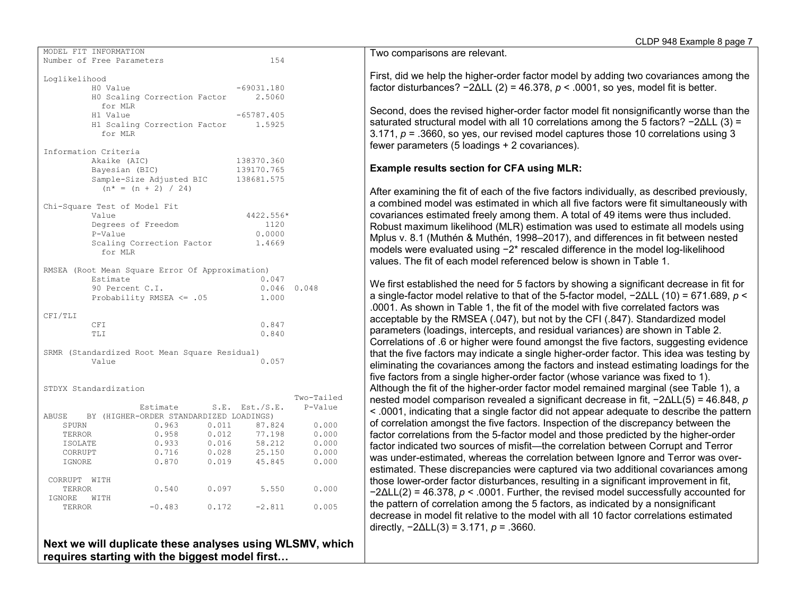|               | MODEL FIT INFORMATION        |                                                 |       |                                 |            |
|---------------|------------------------------|-------------------------------------------------|-------|---------------------------------|------------|
|               | Number of Free Parameters    |                                                 |       | 154                             |            |
|               |                              |                                                 |       |                                 |            |
| Loglikelihood |                              |                                                 |       |                                 |            |
|               | H0 Value                     |                                                 |       | $-69031.180$                    |            |
|               |                              | HO Scaling Correction Factor                    |       | 2.5060                          |            |
|               |                              |                                                 |       |                                 |            |
|               | for MLR                      |                                                 |       |                                 |            |
|               | H1 Value                     |                                                 |       | $-65787.405$                    |            |
|               |                              | H1 Scaling Correction Factor 1.5925             |       |                                 |            |
|               | for MLR                      |                                                 |       |                                 |            |
|               |                              |                                                 |       |                                 |            |
|               | Information Criteria         |                                                 |       |                                 |            |
|               | Akaike (AIC)                 |                                                 |       | 138370.360                      |            |
|               | Bayesian (BIC)               |                                                 |       | 139170.765                      |            |
|               |                              | Sample-Size Adjusted BIC 138681.575             |       |                                 |            |
|               |                              | $(n^* = (n + 2) / 24)$                          |       |                                 |            |
|               |                              |                                                 |       |                                 |            |
|               | Chi-Square Test of Model Fit |                                                 |       |                                 |            |
|               | Value                        |                                                 |       | 4422.556*                       |            |
|               |                              |                                                 |       |                                 |            |
|               | Degrees of Freedom           |                                                 |       | 1120                            |            |
|               | P-Value                      |                                                 |       | 0.0000                          |            |
|               |                              | Scaling Correction Factor                       |       | 1.4669                          |            |
|               | for MLR                      |                                                 |       |                                 |            |
|               |                              |                                                 |       |                                 |            |
|               |                              | RMSEA (Root Mean Square Error Of Approximation) |       |                                 |            |
|               | Estimate                     |                                                 |       | 0.047                           |            |
|               | 90 Percent C.I.              |                                                 |       | $0.046$ 0.048                   |            |
|               |                              | Probability RMSEA $\leq$ .05                    |       | 1.000                           |            |
|               |                              |                                                 |       |                                 |            |
| CFI/TLI       |                              |                                                 |       |                                 |            |
|               | <b>CFI</b>                   |                                                 |       | 0.847                           |            |
|               | TLI                          |                                                 |       | 0.840                           |            |
|               |                              |                                                 |       |                                 |            |
|               |                              |                                                 |       |                                 |            |
|               | Value                        | SRMR (Standardized Root Mean Square Residual)   |       | 0.057                           |            |
|               |                              |                                                 |       |                                 |            |
|               |                              |                                                 |       |                                 |            |
|               |                              |                                                 |       |                                 |            |
|               | STDYX Standardization        |                                                 |       |                                 |            |
|               |                              |                                                 |       |                                 | Two-Tailed |
|               |                              |                                                 |       | Estimate S.E. Est./S.E. P-Value |            |
|               |                              | ABUSE BY (HIGHER-ORDER STANDARDIZED LOADINGS)   |       |                                 |            |
| SPURN         |                              | 0.963                                           | 0.011 | 87.824                          | 0.000      |
| TERROR        |                              | 0.958                                           | 0.012 | 77.198                          | 0.000      |
| ISOLATE       |                              | 0.933                                           | 0.016 | 58.212                          | 0.000      |
| CORRUPT       |                              | 0.716                                           | 0.028 | 25.150                          | 0.000      |
| IGNORE        |                              | 0.870                                           | 0.019 | 45.845                          | 0.000      |
|               |                              |                                                 |       |                                 |            |
| CORRUPT WITH  |                              |                                                 |       |                                 |            |
| TERROR        |                              |                                                 |       | $0.540$ 0.097 5.550             | 0.000      |
| IGNORE WITH   |                              |                                                 |       |                                 |            |
|               |                              |                                                 |       |                                 | 0.005      |
| TERROR        |                              | $-0.483$                                        |       | $0.172 -2.811$                  |            |
|               |                              |                                                 |       |                                 |            |
|               |                              |                                                 |       |                                 |            |

**Next we will duplicate these analyses using WLSMV, which requires starting with the biggest model first…**

Two comparisons are relevant.

First, did we help the higher-order factor model by adding two covariances among the factor disturbances? −2ΔLL (2) = 46.378, *p* < .0001, so yes, model fit is better.

Second, does the revised higher-order factor model fit nonsignificantly worse than the saturated structural model with all 10 correlations among the 5 factors? −2ΔLL (3) = 3.171, *p* = .3660, so yes, our revised model captures those 10 correlations using 3 fewer parameters (5 loadings + 2 covariances).

### **Example results section for CFA using MLR:**

After examining the fit of each of the five factors individually, as described previously, a combined model was estimated in which all five factors were fit simultaneously with covariances estimated freely among them. A total of 49 items were thus included. Robust maximum likelihood (MLR) estimation was used to estimate all models using Mplus v. 8.1 (Muthén & Muthén, 1998–2017), and differences in fit between nested models were evaluated using −2\* rescaled difference in the model log-likelihood values. The fit of each model referenced below is shown in Table 1.

We first established the need for 5 factors by showing a significant decrease in fit for a single-factor model relative to that of the 5-factor model, −2ΔLL (10) = 671.689, *p* < .0001. As shown in Table 1, the fit of the model with five correlated factors was acceptable by the RMSEA (.047), but not by the CFI (.847). Standardized model parameters (loadings, intercepts, and residual variances) are shown in Table 2. Correlations of .6 or higher were found amongst the five factors, suggesting evidence that the five factors may indicate a single higher-order factor. This idea was testing by eliminating the covariances among the factors and instead estimating loadings for the five factors from a single higher-order factor (whose variance was fixed to 1). Although the fit of the higher-order factor model remained marginal (see Table 1), a nested model comparison revealed a significant decrease in fit, −2ΔLL(5) = 46.848, *p* < .0001, indicating that a single factor did not appear adequate to describe the pattern of correlation amongst the five factors. Inspection of the discrepancy between the factor correlations from the 5-factor model and those predicted by the higher-order factor indicated two sources of misfit—the correlation between Corrupt and Terror was under-estimated, whereas the correlation between Ignore and Terror was overestimated. These discrepancies were captured via two additional covariances among those lower-order factor disturbances, resulting in a significant improvement in fit, −2ΔLL(2) = 46.378, *p* < .0001. Further, the revised model successfully accounted for the pattern of correlation among the 5 factors, as indicated by a nonsignificant decrease in model fit relative to the model with all 10 factor correlations estimated directly, −2ΔLL(3) = 3.171, *p* = .3660.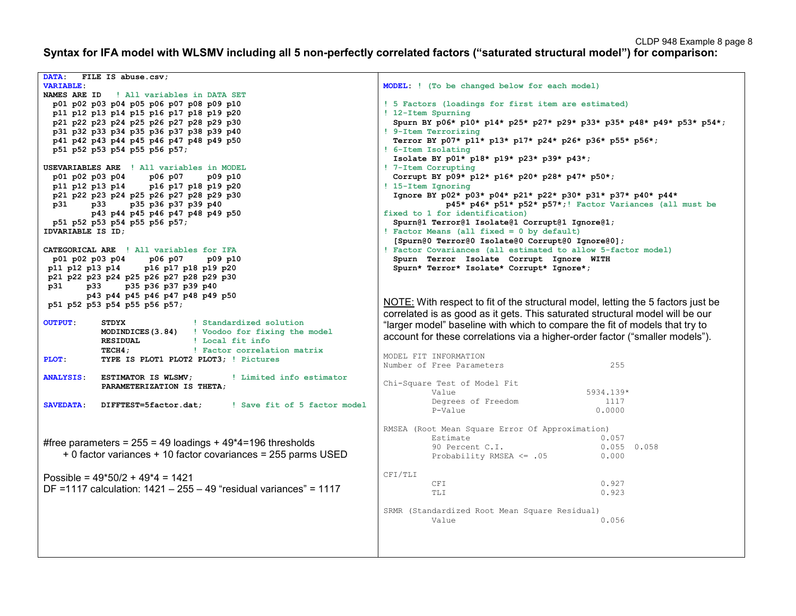**Syntax for IFA model with WLSMV including all 5 non-perfectly correlated factors ("saturated structural model") for comparison:**

| <b>DATA:</b><br>FILE IS abuse.csv;<br><b>VARIABLE:</b><br>NAMES ARE ID<br>! All variables in DATA SET<br>p01 p02 p03 p04 p05 p06 p07 p08 p09 p10<br>p11 p12 p13 p14 p15 p16 p17 p18 p19 p20<br>p21 p22 p23 p24 p25 p26 p27 p28 p29 p30<br>p31 p32 p33 p34 p35 p36 p37 p38 p39 p40<br>p41 p42 p43 p44 p45 p46 p47 p48 p49 p50<br>p51 p52 p53 p54 p55 p56 p57;<br>USEVARIABLES ARE ! All variables in MODEL<br>p01 p02 p03 p04<br>p06 p07<br>p09 p10<br>p11 p12 p13 p14 p16 p17 p18 p19 p20<br>p21 p22 p23 p24 p25 p26 p27 p28 p29 p30<br>p31<br>p33<br>p35 p36 p37 p39 p40<br>p43 p44 p45 p46 p47 p48 p49 p50<br>p51 p52 p53 p54 p55 p56 p57;<br>IDVARIABLE IS ID;<br>CATEGORICAL ARE ! All variables for IFA<br>p06 p07<br>p01 p02 p03 p04<br>p09 p10<br>p11 p12 p13 p14<br>p16 p17 p18 p19 p20<br>p21 p22 p23 p24 p25 p26 p27 p28 p29 p30<br>p35 p36 p37 p39 p40<br>p31<br>p33 | MODEL: ! (To be changed below for each model)<br>! 5 Factors (loadings for first item are estimated)<br>! 12-Item Spurning<br>Spurn BY p06* p10* p14* p25* p27* p29* p33* p35* p48* p49* p53* p54*;<br>! 9-Item Terrorizing<br>Terror BY p07* p11* p13* p17* p24* p26* p36* p55* p56*;<br>! 6-Item Isolating<br>Isolate BY p01* p18* p19* p23* p39* p43*;<br>! 7-Item Corrupting<br>Corrupt BY p09* p12* p16* p20* p28* p47* p50*;<br>! 15-Item Ignoring<br>Ignore BY p02* p03* p04* p21* p22* p30* p31* p37* p40* p44*<br>p45* p46* p51* p52* p57*;! Factor Variances (all must be<br>fixed to 1 for identification)<br>Spurn@1 Terror@1 Isolate@1 Corrupt@1 Ignore@1;<br>! Factor Means (all fixed = 0 by default)<br>[Spurn@0 Terror@0 Isolate@0 Corrupt@0 Ignore@0];<br>! Factor Covariances (all estimated to allow 5-factor model)<br>Spurn Terror Isolate Corrupt Ignore WITH<br>Spurn* Terror* Isolate* Corrupt* Ignore*; |
|---------------------------------------------------------------------------------------------------------------------------------------------------------------------------------------------------------------------------------------------------------------------------------------------------------------------------------------------------------------------------------------------------------------------------------------------------------------------------------------------------------------------------------------------------------------------------------------------------------------------------------------------------------------------------------------------------------------------------------------------------------------------------------------------------------------------------------------------------------------------------------|-----------------------------------------------------------------------------------------------------------------------------------------------------------------------------------------------------------------------------------------------------------------------------------------------------------------------------------------------------------------------------------------------------------------------------------------------------------------------------------------------------------------------------------------------------------------------------------------------------------------------------------------------------------------------------------------------------------------------------------------------------------------------------------------------------------------------------------------------------------------------------------------------------------------------------------|
| p43 p44 p45 p46 p47 p48 p49 p50<br>p51 p52 p53 p54 p55 p56 p57;                                                                                                                                                                                                                                                                                                                                                                                                                                                                                                                                                                                                                                                                                                                                                                                                                 | NOTE: With respect to fit of the structural model, letting the 5 factors just be                                                                                                                                                                                                                                                                                                                                                                                                                                                                                                                                                                                                                                                                                                                                                                                                                                                  |
| <b>OUTPUT:</b><br>STDYX<br>! Standardized solution<br>MODINDICES (3.84) ! Voodoo for fixing the model<br><b>RESIDUAL</b><br>! Local fit info<br>TECH4;<br>! Factor correlation matrix<br>TYPE IS PLOT1 PLOT2 PLOT3; ! Pictures<br>PLOT:                                                                                                                                                                                                                                                                                                                                                                                                                                                                                                                                                                                                                                         | correlated is as good as it gets. This saturated structural model will be our<br>"larger model" baseline with which to compare the fit of models that try to<br>account for these correlations via a higher-order factor ("smaller models").<br>MODEL FIT INFORMATION<br>255<br>Number of Free Parameters                                                                                                                                                                                                                                                                                                                                                                                                                                                                                                                                                                                                                         |
| <b>ANALYSIS:</b><br>ESTIMATOR IS WLSMV;<br>! Limited info estimator<br>PARAMETERIZATION IS THETA:                                                                                                                                                                                                                                                                                                                                                                                                                                                                                                                                                                                                                                                                                                                                                                               | Chi-Square Test of Model Fit<br>Value<br>5934.139*                                                                                                                                                                                                                                                                                                                                                                                                                                                                                                                                                                                                                                                                                                                                                                                                                                                                                |
| <b>SAVEDATA:</b><br>! Save fit of 5 factor model<br>DIFFTEST=5factor.dat;                                                                                                                                                                                                                                                                                                                                                                                                                                                                                                                                                                                                                                                                                                                                                                                                       | Degrees of Freedom<br>1117<br>0.0000<br>P-Value                                                                                                                                                                                                                                                                                                                                                                                                                                                                                                                                                                                                                                                                                                                                                                                                                                                                                   |
| #free parameters = $255 = 49$ loadings + $49*4=196$ thresholds<br>+ 0 factor variances + 10 factor covariances = 255 parms USED                                                                                                                                                                                                                                                                                                                                                                                                                                                                                                                                                                                                                                                                                                                                                 | RMSEA (Root Mean Square Error Of Approximation)<br>0.057<br>Estimate<br>90 Percent C.I.<br>$0.055$ 0.058<br>Probability RMSEA $\leq$ .05<br>0.000                                                                                                                                                                                                                                                                                                                                                                                                                                                                                                                                                                                                                                                                                                                                                                                 |
| Possible = $49*50/2 + 49*4 = 1421$<br>DF =1117 calculation: $1421 - 255 - 49$ "residual variances" = 1117                                                                                                                                                                                                                                                                                                                                                                                                                                                                                                                                                                                                                                                                                                                                                                       | CFI/TLI<br>0.927<br>CFI<br>0.923<br>TLI                                                                                                                                                                                                                                                                                                                                                                                                                                                                                                                                                                                                                                                                                                                                                                                                                                                                                           |
|                                                                                                                                                                                                                                                                                                                                                                                                                                                                                                                                                                                                                                                                                                                                                                                                                                                                                 | SRMR (Standardized Root Mean Square Residual)<br>Value<br>0.056                                                                                                                                                                                                                                                                                                                                                                                                                                                                                                                                                                                                                                                                                                                                                                                                                                                                   |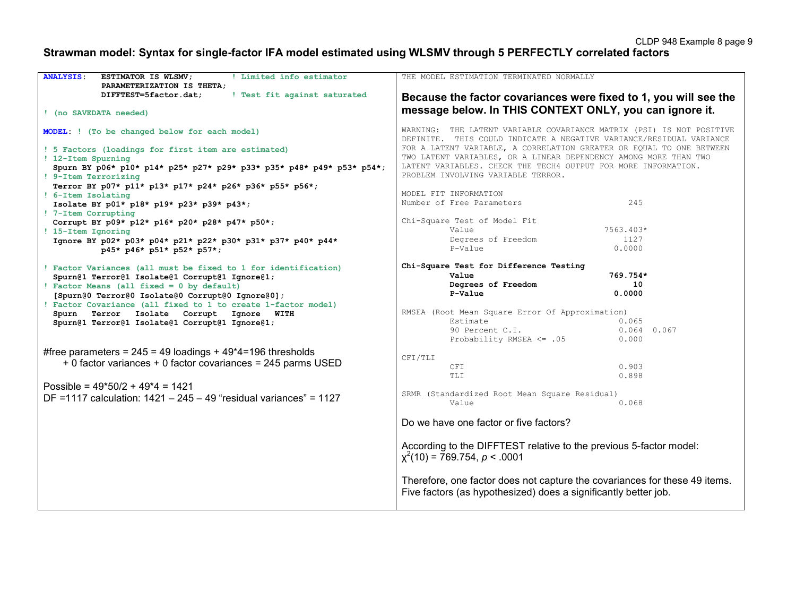# **Strawman model: Syntax for single-factor IFA model estimated using WLSMV through 5 PERFECTLY correlated factors**

| <b>ANALYSIS:</b><br>! Limited info estimator<br>ESTIMATOR IS WLSMV;<br>PARAMETERIZATION IS THETA; | THE MODEL ESTIMATION TERMINATED NORMALLY                                                                                                      |
|---------------------------------------------------------------------------------------------------|-----------------------------------------------------------------------------------------------------------------------------------------------|
| ! Test fit against saturated<br>DIFFTEST=5factor.dat;                                             | Because the factor covariances were fixed to 1, you will see the                                                                              |
| ! (no SAVEDATA needed)                                                                            | message below. In THIS CONTEXT ONLY, you can ignore it.                                                                                       |
| MODEL: ! (To be changed below for each model)                                                     | WARNING: THE LATENT VARIABLE COVARIANCE MATRIX (PSI) IS NOT POSITIVE<br>DEFINITE. THIS COULD INDICATE A NEGATIVE VARIANCE/RESIDUAL VARIANCE   |
| ! 5 Factors (loadings for first item are estimated)                                               | FOR A LATENT VARIABLE, A CORRELATION GREATER OR EQUAL TO ONE BETWEEN                                                                          |
| ! 12-Item Spurning<br>Spurn BY p06* p10* p14* p25* p27* p29* p33* p35* p48* p49* p53* p54*;       | TWO LATENT VARIABLES, OR A LINEAR DEPENDENCY AMONG MORE THAN TWO<br>LATENT VARIABLES. CHECK THE TECH4 OUTPUT FOR MORE INFORMATION.            |
| ! 9-Item Terrorizing                                                                              | PROBLEM INVOLVING VARIABLE TERROR.                                                                                                            |
| Terror BY p07* p11* p13* p17* p24* p26* p36* p55* p56*;<br>! 6-Item Isolating                     | MODEL FIT INFORMATION                                                                                                                         |
| Isolate BY p01* p18* p19* p23* p39* p43*;                                                         | 245<br>Number of Free Parameters                                                                                                              |
| ! 7-Item Corrupting                                                                               | Chi-Square Test of Model Fit                                                                                                                  |
| Corrupt BY p09* p12* p16* p20* p28* p47* p50*;<br>! 15-Item Ignoring                              | 7563.403*<br>Value                                                                                                                            |
| Ignore BY p02* p03* p04* p21* p22* p30* p31* p37* p40* p44*                                       | 1127<br>Degrees of Freedom                                                                                                                    |
| p45* p46* p51* p52* p57*;                                                                         | 0.0000<br>P-Value                                                                                                                             |
| ! Factor Variances (all must be fixed to 1 for identification)                                    | Chi-Square Test for Difference Testing                                                                                                        |
| Spurn@1 Terror@1 Isolate@1 Corrupt@1 Ignore@1;                                                    | Value<br>769.754*<br>10                                                                                                                       |
| ! Factor Means (all fixed = 0 by default)<br>[Spurn@0 Terror@0 Isolate@0 Corrupt@0 Ignore@0];     | Degrees of Freedom<br>P-Value<br>0.0000                                                                                                       |
| ! Factor Covariance (all fixed to 1 to create 1-factor model)                                     |                                                                                                                                               |
| Spurn Terror Isolate Corrupt Ignore WITH                                                          | RMSEA (Root Mean Square Error Of Approximation)<br>Estimate<br>0.065                                                                          |
| Spurn@1 Terror@1 Isolate@1 Corrupt@1 Ignore@1;                                                    | 90 Percent C.I.<br>$0.064$ 0.067                                                                                                              |
|                                                                                                   | Probability RMSEA <= .05<br>0.000                                                                                                             |
| #free parameters = $245 = 49$ loadings + $49*4=196$ thresholds                                    | CFI/TLI                                                                                                                                       |
| + 0 factor variances + 0 factor covariances = 245 parms USED                                      | 0.903<br>CFI                                                                                                                                  |
|                                                                                                   | 0.898<br>TLI                                                                                                                                  |
| Possible = $49*50/2 + 49*4 = 1421$                                                                | SRMR (Standardized Root Mean Square Residual)                                                                                                 |
| DF =1117 calculation: $1421 - 245 - 49$ "residual variances" = 1127                               | Value<br>0.068                                                                                                                                |
|                                                                                                   | Do we have one factor or five factors?                                                                                                        |
|                                                                                                   | According to the DIFFTEST relative to the previous 5-factor model:<br>$x^{2}(10) = 769.754, p < .0001$                                        |
|                                                                                                   | Therefore, one factor does not capture the covariances for these 49 items.<br>Five factors (as hypothesized) does a significantly better job. |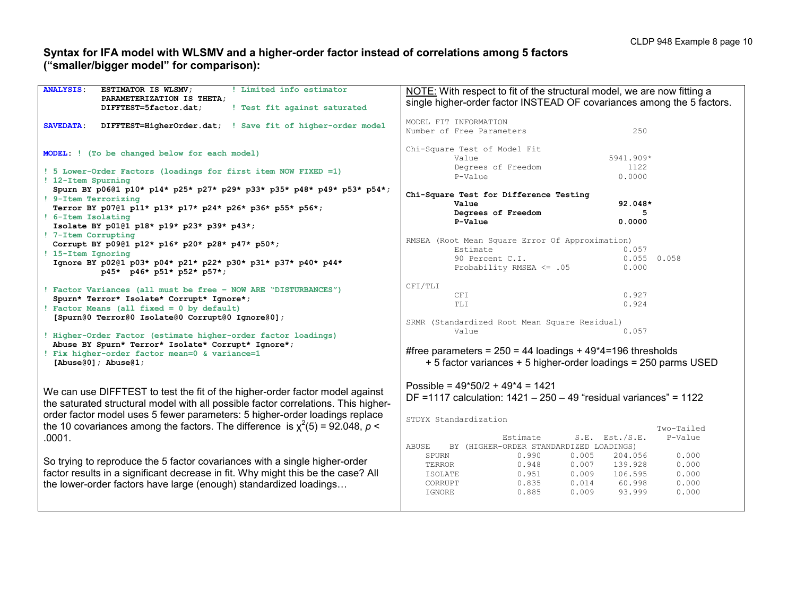### **Syntax for IFA model with WLSMV and a higher-order factor instead of correlations among 5 factors ("smaller/bigger model" for comparison):**

| <b>ANALYSIS:</b><br>! Limited info estimator<br>ESTIMATOR IS WLSMV;<br>PARAMETERIZATION IS THETA;<br>! Test fit against saturated<br>DIFFTEST=5factor.dat;          | NOTE: With respect to fit of the structural model, we are now fitting a<br>single higher-order factor INSTEAD OF covariances among the 5 factors. |  |  |  |  |
|---------------------------------------------------------------------------------------------------------------------------------------------------------------------|---------------------------------------------------------------------------------------------------------------------------------------------------|--|--|--|--|
| SAVEDATA:<br>DIFFTEST=HigherOrder.dat; ! Save fit of higher-order model                                                                                             | MODEL FIT INFORMATION<br>250<br>Number of Free Parameters                                                                                         |  |  |  |  |
| MODEL: ! (To be changed below for each model)                                                                                                                       | Chi-Square Test of Model Fit<br>Value<br>5941.909*                                                                                                |  |  |  |  |
| ! 5 Lower-Order Factors (loadings for first item NOW FIXED =1)<br>! 12-Item Spurning                                                                                | Degrees of Freedom<br>1122<br>0.0000<br>P-Value                                                                                                   |  |  |  |  |
| Spurn BY p0601 p10* p14* p25* p27* p29* p33* p35* p48* p49* p53* p54*;<br>! 9-Item Terrorizing                                                                      | Chi-Square Test for Difference Testing<br>Value<br>92.048*                                                                                        |  |  |  |  |
| Terror BY p07@1 p11* p13* p17* p24* p26* p36* p55* p56*;<br>! 6-Item Isolating                                                                                      | Degrees of Freedom<br>5                                                                                                                           |  |  |  |  |
| Isolate BY p0101 p18* p19* p23* p39* p43*;                                                                                                                          | P-Value<br>0.0000                                                                                                                                 |  |  |  |  |
| ! 7-Item Corrupting<br>Corrupt BY p0901 p12* p16* p20* p28* p47* p50*;                                                                                              | RMSEA (Root Mean Square Error Of Approximation)                                                                                                   |  |  |  |  |
| ! 15-Item Ignoring<br>Ignore BY p0201 p03* p04* p21* p22* p30* p31* p37* p40* p44*                                                                                  | 0.057<br>Estimate<br>90 Percent C.I.<br>0.055<br>0.058                                                                                            |  |  |  |  |
| p45* p46* p51* p52* p57*;                                                                                                                                           | Probability RMSEA $\leq$ .05<br>0.000                                                                                                             |  |  |  |  |
| ! Factor Variances (all must be free - NOW ARE "DISTURBANCES")                                                                                                      | CFI/TLI<br>0.927<br>CFI                                                                                                                           |  |  |  |  |
| Spurn* Terror* Isolate* Corrupt* Ignore*;<br>! Factor Means (all fixed = 0 by default)                                                                              | 0.924<br>TLI                                                                                                                                      |  |  |  |  |
| [Spurn@0 Terror@0 Isolate@0 Corrupt@0 Ignore@0];                                                                                                                    | SRMR (Standardized Root Mean Square Residual)                                                                                                     |  |  |  |  |
| ! Higher-Order Factor (estimate higher-order factor loadings)                                                                                                       | 0.057<br>Value                                                                                                                                    |  |  |  |  |
| Abuse BY Spurn* Terror* Isolate* Corrupt* Ignore*;<br>! Fix higher-order factor mean=0 & variance=1                                                                 | #free parameters = $250 = 44$ loadings + $49*4 = 196$ thresholds                                                                                  |  |  |  |  |
| [Abuse $(0)$ ]; Abuse $(1)$ ;                                                                                                                                       | + 5 factor variances + 5 higher-order loadings = 250 parms USED                                                                                   |  |  |  |  |
|                                                                                                                                                                     | Possible = $49*50/2 + 49*4 = 1421$                                                                                                                |  |  |  |  |
| We can use DIFFTEST to test the fit of the higher-order factor model against<br>the saturated structural model with all possible factor correlations. This higher-  | DF =1117 calculation: $1421 - 250 - 49$ "residual variances" = 1122                                                                               |  |  |  |  |
| order factor model uses 5 fewer parameters: 5 higher-order loadings replace<br>the 10 covariances among the factors. The difference is $\chi^2(5) = 92.048$ , $p <$ | STDYX Standardization                                                                                                                             |  |  |  |  |
| .0001.                                                                                                                                                              | Two-Tailed<br>$S.E.$ Est./ $S.E.$<br>P-Value<br>Estimate                                                                                          |  |  |  |  |
|                                                                                                                                                                     | ABUSE<br>BY (HIGHER-ORDER STANDARDIZED LOADINGS)                                                                                                  |  |  |  |  |
| So trying to reproduce the 5 factor covariances with a single higher-order                                                                                          | 0.990<br>0.005<br>204.056<br>0.000<br>SPURN<br>0.948<br>TERROR<br>0.007<br>139.928<br>0.000                                                       |  |  |  |  |
| factor results in a significant decrease in fit. Why might this be the case? All                                                                                    | 0.951<br>0.009<br>106.595<br>0.000<br>ISOLATE                                                                                                     |  |  |  |  |
| the lower-order factors have large (enough) standardized loadings                                                                                                   | 0.835<br>0.014<br>60.998<br>0.000<br>CORRUPT                                                                                                      |  |  |  |  |
|                                                                                                                                                                     | 0.885<br>0.009<br>93.999<br>IGNORE<br>0.000                                                                                                       |  |  |  |  |
|                                                                                                                                                                     |                                                                                                                                                   |  |  |  |  |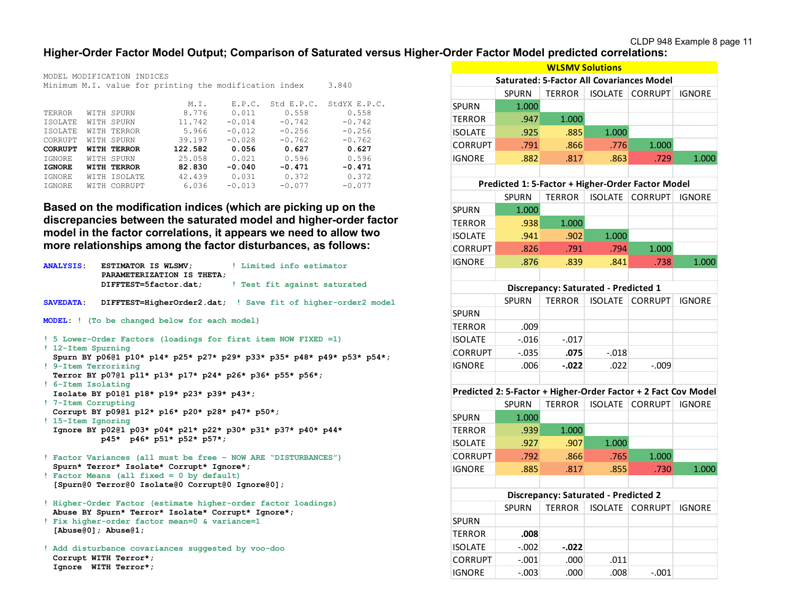## **Higher-Order Factor Model Output; Comparison of Saturated versus Higher-Order Factor Model predicted correlations:**

|                                                        |  | MODEL MODIFICATION INDICES |         |          |            |              |
|--------------------------------------------------------|--|----------------------------|---------|----------|------------|--------------|
| Minimum M.I. value for printing the modification index |  |                            |         |          | 3.840      |              |
|                                                        |  |                            |         |          |            |              |
|                                                        |  |                            | M.I.    | F.P.C.   | Std E.P.C. | StdYX E.P.C. |
| TERROR                                                 |  | WITH SPURN                 | 8.776   | 0.011    | 0.558      | 0.558        |
| <b>TSOLATE</b>                                         |  | WITH SPURN                 | 11.742  | $-0.014$ | $-0.742$   | $-0.742$     |
| ISOLATE                                                |  | WITH TERROR                | 5.966   | $-0.012$ | $-0.256$   | $-0.256$     |
| CORRUPT                                                |  | WITH SPURN                 | 39.197  | $-0.028$ | $-0.762$   | $-0.762$     |
| <b>CORRUPT</b>                                         |  | <b>WITH TERROR</b>         | 122.582 | 0.056    | 0.627      | 0.627        |
| <b>TGNORE</b>                                          |  | WITH SPURN                 | 25.058  | 0.021    | 0.596      | 0.596        |
| <b>IGNORE</b>                                          |  | <b>WITH TERROR</b>         | 82.830  | $-0.040$ | $-0.471$   | $-0.471$     |
| <b>TGNORE</b>                                          |  | WITH ISOLATE               | 42.439  | 0.031    | 0.372      | 0.372        |
| IGNORE                                                 |  | WITH CORRUPT               | 6.036   | $-0.013$ | $-0.077$   | $-0.077$     |
|                                                        |  |                            |         |          |            |              |

**Based on the modification indices (which are picking up on the discrepancies between the saturated model and higher-order factor model in the factor correlations, it appears we need to allow two more relationships among the factor disturbances, as follows:**

| <b>ANALYSIS:</b>                                                                              | <b>ESTIMATOR IS WLSMV;</b><br>PARAMETERIZATION IS THETA;                                                            | ! Limited info estimator<br>DIFFTEST=5factor.dat; I Test fit against saturated |  |  |
|-----------------------------------------------------------------------------------------------|---------------------------------------------------------------------------------------------------------------------|--------------------------------------------------------------------------------|--|--|
| <b>SAVEDATA:</b>                                                                              |                                                                                                                     | DIFFTEST=HigherOrder2.dat; ! Save fit of higher-order2 model                   |  |  |
|                                                                                               | MODEL: ! (To be changed below for each model)                                                                       |                                                                                |  |  |
| ! 12-Item Spurning<br>! 9-Item Terrorizing                                                    | ! 5 Lower-Order Factors (loadings for first item NOW FIXED =1)                                                      | Spurn BY p0601 p10* p14* p25* p27* p29* p33* p35* p48* p49* p53* p54*;         |  |  |
| ! 6-Item Isolating                                                                            | Terror BY p0701 p11* p13* p17* p24* p26* p36* p55* p56*;                                                            |                                                                                |  |  |
| ! 7-Item Corrupting                                                                           | Isolate BY p0101 p18* p19* p23* p39* p43*;<br>Corrupt BY p0901 p12* p16* p20* p28* p47* p50*;                       |                                                                                |  |  |
| ! 15-Item Ignoring                                                                            | Ignore BY p0201 p03* p04* p21* p22* p30* p31* p37* p40* p44*<br>p45* p46* p51* p52* p57*;                           |                                                                                |  |  |
|                                                                                               | ! Factor Variances (all must be free - NOW ARE "DISTURBANCES")<br>Spurn* Terror* Isolate* Corrupt* Ignore*;         |                                                                                |  |  |
| ! Factor Means (all fixed = 0 by default)<br>[Spurn@0 Terror@0 Isolate@0 Corrupt@0 Ignore@0]; |                                                                                                                     |                                                                                |  |  |
|                                                                                               | ! Higher-Order Factor (estimate higher-order factor loadings)<br>Abuse BY Spurn* Terror* Isolate* Corrupt* Ignore*; |                                                                                |  |  |
|                                                                                               | ! Fix higher-order factor mean=0 & variance=1<br>[Abuse $(0)$ ]; Abuse $(1)$ ;                                      |                                                                                |  |  |
|                                                                                               | ! Add disturbance covariances suggested by voo-doo<br>Corrupt WITH Terror*;<br>Ignore WITH Terror*;                 |                                                                                |  |  |

|                |                                                                | <b>WLSMV Solutions</b>                      |                |                |               |
|----------------|----------------------------------------------------------------|---------------------------------------------|----------------|----------------|---------------|
|                | <b>Saturated: 5-Factor All Covariances Model</b>               |                                             |                |                |               |
|                | <b>SPURN</b>                                                   | <b>TERROR</b>                               | <b>ISOLATE</b> | <b>CORRUPT</b> | <b>IGNORE</b> |
| SPURN          | 1.000                                                          |                                             |                |                |               |
| <b>TERROR</b>  | .947                                                           | 1.000                                       |                |                |               |
| <b>ISOLATE</b> | .925                                                           | .885                                        | 1.000          |                |               |
| CORRUPT        | .791                                                           | .866                                        | .776           | 1.000          |               |
| IGNORE         | .882                                                           | .817                                        | .863           | .729           | 1.000         |
|                |                                                                |                                             |                |                |               |
|                | Predicted 1: 5-Factor + Higher-Order Factor Model              |                                             |                |                |               |
|                | <b>SPURN</b>                                                   | <b>TERROR</b>                               | <b>ISOLATE</b> | <b>CORRUPT</b> | <b>IGNORE</b> |
| SPURN          | 1.000                                                          |                                             |                |                |               |
| TERROR         | .938                                                           | 1.000                                       |                |                |               |
| <b>ISOLATE</b> | .941                                                           | .902                                        | 1.000          |                |               |
| CORRUPT        | .826                                                           | .791                                        | .794           | 1.000          |               |
| IGNORE         | .876                                                           | .839                                        | .841           | .738           | 1.000         |
|                |                                                                |                                             |                |                |               |
|                |                                                                | Discrepancy: Saturated - Predicted 1        |                |                |               |
|                | <b>SPURN</b>                                                   | <b>TERROR</b>                               | <b>ISOLATE</b> | <b>CORRUPT</b> | <b>IGNORE</b> |
| SPURN          |                                                                |                                             |                |                |               |
| TERROR         | .009                                                           |                                             |                |                |               |
| <b>ISOLATE</b> | $-0.016$                                                       | $-.017$                                     |                |                |               |
| CORRUPT        | $-0.035$                                                       | .075                                        | $-0.018$       |                |               |
| <b>IGNORE</b>  | .006                                                           | $-0.022$                                    | .022           | $-.009$        |               |
|                |                                                                |                                             |                |                |               |
|                | Predicted 2: 5-Factor + Higher-Order Factor + 2 Fact Cov Model |                                             |                |                |               |
|                | <b>SPURN</b>                                                   | <b>TERROR</b>                               | <b>ISOLATE</b> | <b>CORRUPT</b> | <b>IGNORE</b> |
| <b>SPURN</b>   | 1.000                                                          |                                             |                |                |               |
| <b>TERROR</b>  | .939                                                           | 1.000                                       |                |                |               |
| <b>ISOLATE</b> | .927                                                           | .907                                        | 1.000          |                |               |
| CORRUPT        | .792                                                           | .866                                        | .765           | 1.000          |               |
| <b>IGNORE</b>  | .885                                                           | .817                                        | .855           | .730           | 1.000         |
|                |                                                                |                                             |                |                |               |
|                |                                                                | <b>Discrepancy: Saturated - Predicted 2</b> |                |                |               |
|                | SPURN                                                          | <b>TERROR</b>                               | <b>ISOLATE</b> | <b>CORRUPT</b> | <b>IGNORE</b> |
| SPURN          |                                                                |                                             |                |                |               |
| TERROR         | .008                                                           |                                             |                |                |               |
| <b>ISOLATE</b> | $-.002$                                                        | $-022$                                      |                |                |               |
| CORRUPT        | $-.001$                                                        | .000                                        | .011           |                |               |
| IGNORE         | $-.003$                                                        | .000                                        | .008           | $-.001$        |               |
|                |                                                                |                                             |                |                |               |